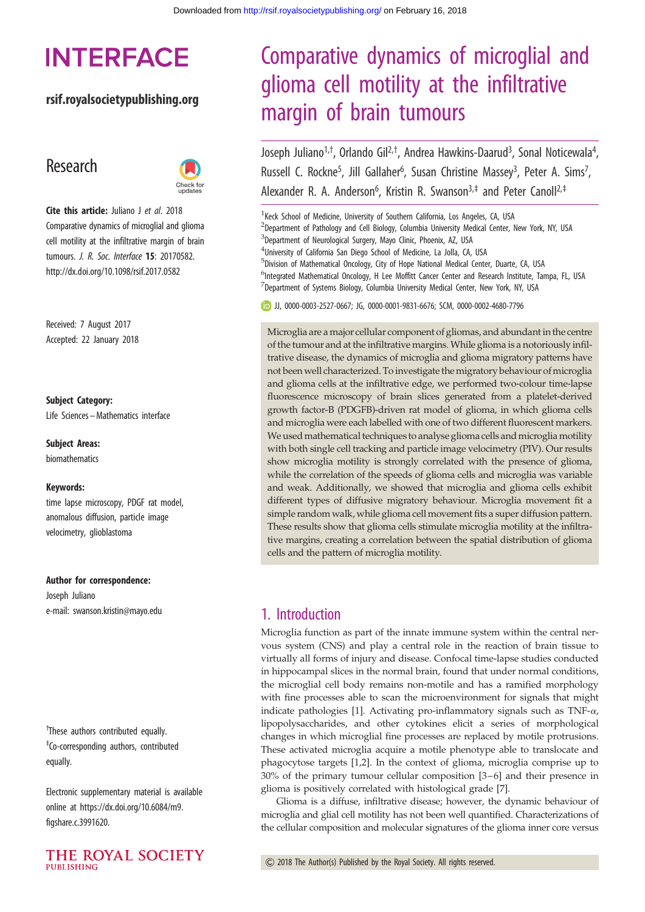# **INTERFACE**

### rsif.royalsocietypublishing.org

## Research



Cite this article: Juliano J et al. 2018 Comparative dynamics of microglial and glioma cell motility at the infiltrative margin of brain tumours. J. R. Soc. Interface 15: 20170582. http://dx.doi.org/10.1098/rsif.2017.0582

Received: 7 August 2017 Accepted: 22 January 2018

#### Subject Category:

Life Sciences –Mathematics interface

Subject Areas:

biomathematics

#### Keywords:

time lapse microscopy, PDGF rat model, anomalous diffusion, particle image velocimetry, glioblastoma

#### Author for correspondence:

Joseph Juliano e-mail: [swanson.kristin@mayo.edu](mailto:swanson.kristin@mayo.edu)

<sup>†</sup>These authors contributed equally. ‡ Co-corresponding authors, contributed equally.

Electronic supplementary material is available online at [https://dx.doi.org/10.6084/m9.](https://dx.doi.org/10.6084/m9.figshare.c.3991620) [figshare.c.3991620](https://dx.doi.org/10.6084/m9.figshare.c.3991620).



## Comparative dynamics of microglial and glioma cell motility at the infiltrative margin of brain tumours

Joseph Juliano<sup>1,†</sup>, Orlando Gil<sup>2,†</sup>, Andrea Hawkins-Daarud<sup>3</sup>, Sonal Noticewala<sup>4</sup> .<br>, Russell C. Rockne<sup>5</sup>, Jill Gallaher<sup>6</sup>, Susan Christine Massey<sup>3</sup>, Peter A. Sims<sup>7</sup> , Alexander R. A. Anderson<sup>6</sup>, Kristin R. Swanson<sup>3,‡</sup> and Peter Canoll<sup>2,‡</sup>

<sup>1</sup> Keck School of Medicine, University of Southern California, Los Angeles, CA, USA <sup>2</sup>Department of Pathology and Cell Biology, Columbia University Medical Center, New York, NY, USA 3 Department of Neurological Surgery, Mayo Clinic, Phoenix, AZ, USA

<sup>4</sup>University of California San Diego School of Medicine, La Jolla, CA, USA

5 Division of Mathematical Oncology, City of Hope National Medical Center, Duarte, CA, USA

<sup>6</sup>Integrated Mathematical Oncology, H Lee Moffitt Cancer Center and Research Institute, Tampa, FL, USA  $^7$ Department of Systems Biology, Columbia University Medical Center, New York, NY, USA

JJ, [0000-0003-2527-0667](http://orcid.org/0000-0003-2527-0667); JG, [0000-0001-9831-6676;](http://orcid.org/0000-0001-9831-6676) SCM, [0000-0002-4680-7796](http://orcid.org/0000-0002-4680-7796)

Microglia are a major cellular component of gliomas, and abundant in the centre of the tumour and at the infiltrative margins. While glioma is a notoriously infiltrative disease, the dynamics of microglia and glioma migratory patterns have not been well characterized. To investigate the migratory behaviour ofmicroglia and glioma cells at the infiltrative edge, we performed two-colour time-lapse fluorescence microscopy of brain slices generated from a platelet-derived growth factor-B (PDGFB)-driven rat model of glioma, in which glioma cells and microglia were each labelled with one of two different fluorescent markers. We used mathematical techniques to analyse glioma cells and microglia motility with both single cell tracking and particle image velocimetry (PIV). Our results show microglia motility is strongly correlated with the presence of glioma, while the correlation of the speeds of glioma cells and microglia was variable and weak. Additionally, we showed that microglia and glioma cells exhibit different types of diffusive migratory behaviour. Microglia movement fit a simple random walk, while glioma cell movement fits a super diffusion pattern. These results show that glioma cells stimulate microglia motility at the infiltrative margins, creating a correlation between the spatial distribution of glioma cells and the pattern of microglia motility.

## 1. Introduction

Microglia function as part of the innate immune system within the central nervous system (CNS) and play a central role in the reaction of brain tissue to virtually all forms of injury and disease. Confocal time-lapse studies conducted in hippocampal slices in the normal brain, found that under normal conditions, the microglial cell body remains non-motile and has a ramified morphology with fine processes able to scan the microenvironment for signals that might indicate pathologies [[1](#page-6-0)]. Activating pro-inflammatory signals such as TNF-a, lipopolysaccharides, and other cytokines elicit a series of morphological changes in which microglial fine processes are replaced by motile protrusions. These activated microglia acquire a motile phenotype able to translocate and phagocytose targets [\[1,2](#page-6-0)]. In the context of glioma, microglia comprise up to [3](#page-6-0)0% of the primary tumour cellular composition [3-6] and their presence in glioma is positively correlated with histological grade [\[7\]](#page-6-0).

Glioma is a diffuse, infiltrative disease; however, the dynamic behaviour of microglia and glial cell motility has not been well quantified. Characterizations of the cellular composition and molecular signatures of the glioma inner core versus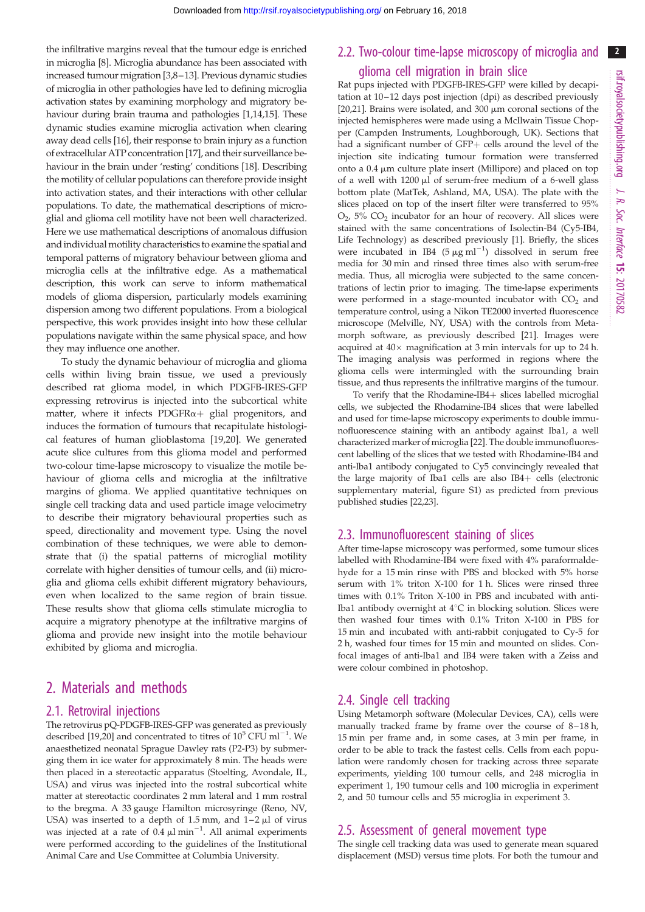the infiltrative margins reveal that the tumour edge is enriched in microglia [\[8\]](#page-6-0). Microglia abundance has been associated with increased tumour migration [\[3,8](#page-6-0)–[13\]](#page-6-0). Previous dynamic studies of microglia in other pathologies have led to defining microglia activation states by examining morphology and migratory behaviour during brain trauma and pathologies [\[1,14,15](#page-6-0)]. These dynamic studies examine microglia activation when clearing away dead cells [\[16](#page-6-0)], their response to brain injury as a function of extracellular ATP concentration [\[17\]](#page-6-0), and their surveillance behaviour in the brain under 'resting' conditions [[18\]](#page-6-0). Describing the motility of cellular populations can therefore provide insight into activation states, and their interactions with other cellular populations. To date, the mathematical descriptions of microglial and glioma cell motility have not been well characterized. Here we use mathematical descriptions of anomalous diffusion and individual motility characteristics to examine the spatial and temporal patterns of migratory behaviour between glioma and microglia cells at the infiltrative edge. As a mathematical description, this work can serve to inform mathematical models of glioma dispersion, particularly models examining dispersion among two different populations. From a biological perspective, this work provides insight into how these cellular populations navigate within the same physical space, and how they may influence one another.

To study the dynamic behaviour of microglia and glioma cells within living brain tissue, we used a previously described rat glioma model, in which PDGFB-IRES-GFP expressing retrovirus is injected into the subcortical white matter, where it infects  $PDGFR\alpha$  glial progenitors, and induces the formation of tumours that recapitulate histological features of human glioblastoma [\[19,20](#page-6-0)]. We generated acute slice cultures from this glioma model and performed two-colour time-lapse microscopy to visualize the motile behaviour of glioma cells and microglia at the infiltrative margins of glioma. We applied quantitative techniques on single cell tracking data and used particle image velocimetry to describe their migratory behavioural properties such as speed, directionality and movement type. Using the novel combination of these techniques, we were able to demonstrate that (i) the spatial patterns of microglial motility correlate with higher densities of tumour cells, and (ii) microglia and glioma cells exhibit different migratory behaviours, even when localized to the same region of brain tissue. These results show that glioma cells stimulate microglia to acquire a migratory phenotype at the infiltrative margins of glioma and provide new insight into the motile behaviour exhibited by glioma and microglia.

## 2. Materials and methods

#### 2.1. Retroviral injections

The retrovirus pQ-PDGFB-IRES-GFP was generated as previously described [[19,20\]](#page-6-0) and concentrated to titres of  $10^5$  CFU ml<sup>-1</sup>. We anaesthetized neonatal Sprague Dawley rats (P2-P3) by submerging them in ice water for approximately 8 min. The heads were then placed in a stereotactic apparatus (Stoelting, Avondale, IL, USA) and virus was injected into the rostral subcortical white matter at stereotactic coordinates 2 mm lateral and 1 mm rostral to the bregma. A 33 gauge Hamilton microsyringe (Reno, NV, USA) was inserted to a depth of 1.5 mm, and  $1-2 \mu$ l of virus was injected at a rate of  $0.4 \mu l \text{ min}^{-1}$ . All animal experiments were performed according to the guidelines of the Institutional Animal Care and Use Committee at Columbia University.

## 2.2. Two-colour time-lapse microscopy of microglia and

#### glioma cell migration in brain slice

Rat pups injected with PDGFB-IRES-GFP were killed by decapitation at  $10-12$  days post injection (dpi) as described previously [[20,21\]](#page-6-0). Brains were isolated, and 300  $\mu$ m coronal sections of the injected hemispheres were made using a McIlwain Tissue Chopper (Campden Instruments, Loughborough, UK). Sections that had a significant number of GFP+ cells around the level of the injection site indicating tumour formation were transferred onto a  $0.4 \mu m$  culture plate insert (Millipore) and placed on top of a well with  $1200 \mu l$  of serum-free medium of a 6-well glass bottom plate (MatTek, Ashland, MA, USA). The plate with the slices placed on top of the insert filter were transferred to 95%  $O<sub>2</sub>$ , 5%  $CO<sub>2</sub>$  incubator for an hour of recovery. All slices were stained with the same concentrations of Isolectin-B4 (Cy5-IB4, Life Technology) as described previously [\[1\]](#page-6-0). Briefly, the slices were incubated in IB4  $(5 \mu g \text{ ml}^{-1})$  dissolved in serum free media for 30 min and rinsed three times also with serum-free media. Thus, all microglia were subjected to the same concentrations of lectin prior to imaging. The time-lapse experiments were performed in a stage-mounted incubator with  $CO<sub>2</sub>$  and temperature control, using a Nikon TE2000 inverted fluorescence microscope (Melville, NY, USA) with the controls from Metamorph software, as previously described [[21](#page-6-0)]. Images were acquired at  $40\times$  magnification at 3 min intervals for up to 24 h. The imaging analysis was performed in regions where the glioma cells were intermingled with the surrounding brain tissue, and thus represents the infiltrative margins of the tumour.

To verify that the Rhodamine-IB4 $+$  slices labelled microglial cells, we subjected the Rhodamine-IB4 slices that were labelled and used for time-lapse microscopy experiments to double immunofluorescence staining with an antibody against Iba1, a well characterized marker of microglia [[22](#page-6-0)]. The double immunofluorescent labelling of the slices that we tested with Rhodamine-IB4 and anti-Iba1 antibody conjugated to Cy5 convincingly revealed that the large majority of Iba1 cells are also IB4+ cells (electronic supplementary material, figure S1) as predicted from previous published studies [\[22,](#page-6-0)[23](#page-7-0)].

#### 2.3. Immunofluorescent staining of slices

After time-lapse microscopy was performed, some tumour slices labelled with Rhodamine-IB4 were fixed with 4% paraformaldehyde for a 15 min rinse with PBS and blocked with 5% horse serum with 1% triton X-100 for 1 h. Slices were rinsed three times with 0.1% Triton X-100 in PBS and incubated with anti-Iba1 antibody overnight at  $4^{\circ}$ C in blocking solution. Slices were then washed four times with 0.1% Triton X-100 in PBS for 15 min and incubated with anti-rabbit conjugated to Cy-5 for 2 h, washed four times for 15 min and mounted on slides. Confocal images of anti-Iba1 and IB4 were taken with a Zeiss and were colour combined in photoshop.

#### 2.4. Single cell tracking

Using Metamorph software (Molecular Devices, CA), cells were manually tracked frame by frame over the course of  $8-18$  h, 15 min per frame and, in some cases, at 3 min per frame, in order to be able to track the fastest cells. Cells from each population were randomly chosen for tracking across three separate experiments, yielding 100 tumour cells, and 248 microglia in experiment 1, 190 tumour cells and 100 microglia in experiment 2, and 50 tumour cells and 55 microglia in experiment 3.

#### 2.5. Assessment of general movement type

The single cell tracking data was used to generate mean squared displacement (MSD) versus time plots. For both the tumour and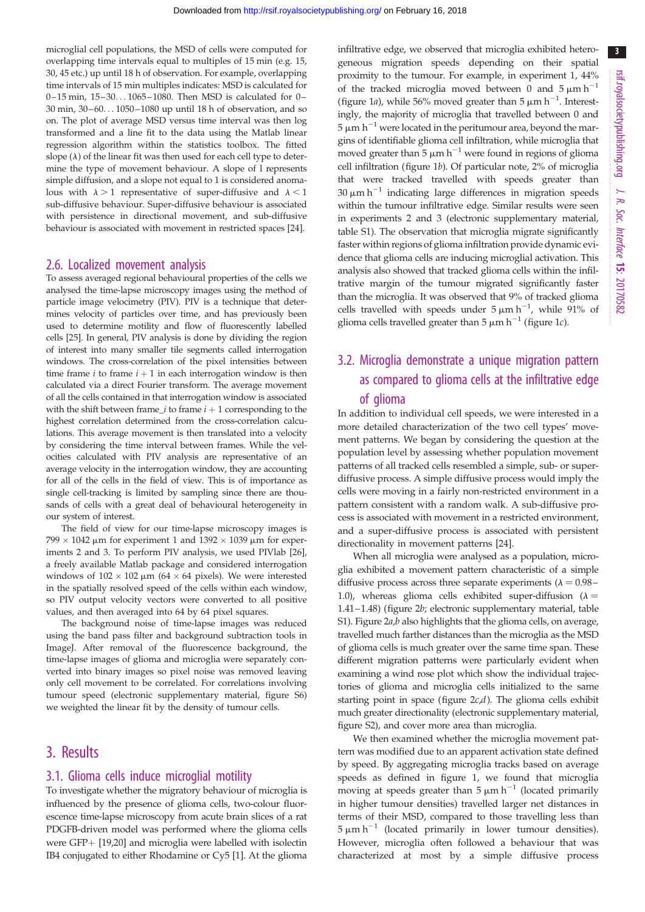microglial cell populations, the MSD of cells were computed for overlapping time intervals equal to multiples of 15 min (e.g. 15, 30, 45 etc.) up until 18 h of observation. For example, overlapping time intervals of 15 min multiples indicates: MSD is calculated for 0-15 min, 15-30...1065-1080. Then MSD is calculated for 0-30 min, 30 – 60... 1050 – 1080 up until 18 h of observation, and so on. The plot of average MSD versus time interval was then log transformed and a line fit to the data using the Matlab linear regression algorithm within the statistics toolbox. The fitted slope  $(\lambda)$  of the linear fit was then used for each cell type to determine the type of movement behaviour. A slope of l represents simple diffusion, and a slope not equal to 1 is considered anomalous with  $\lambda > 1$  representative of super-diffusive and  $\lambda < 1$ sub-diffusive behaviour. Super-diffusive behaviour is associated with persistence in directional movement, and sub-diffusive behaviour is associated with movement in restricted spaces [\[24\]](#page-7-0).

#### 2.6. Localized movement analysis

To assess averaged regional behavioural properties of the cells we analysed the time-lapse microscopy images using the method of particle image velocimetry (PIV). PIV is a technique that determines velocity of particles over time, and has previously been used to determine motility and flow of fluorescently labelled cells [[25](#page-7-0)]. In general, PIV analysis is done by dividing the region of interest into many smaller tile segments called interrogation windows. The cross-correlation of the pixel intensities between time frame  $i$  to frame  $i + 1$  in each interrogation window is then calculated via a direct Fourier transform. The average movement of all the cells contained in that interrogation window is associated with the shift between frame\_i to frame  $i + 1$  corresponding to the highest correlation determined from the cross-correlation calculations. This average movement is then translated into a velocity by considering the time interval between frames. While the velocities calculated with PIV analysis are representative of an average velocity in the interrogation window, they are accounting for all of the cells in the field of view. This is of importance as single cell-tracking is limited by sampling since there are thousands of cells with a great deal of behavioural heterogeneity in our system of interest.

The field of view for our time-lapse microscopy images is  $799 \times 1042$  µm for experiment 1 and  $1392 \times 1039$  µm for experiments 2 and 3. To perform PIV analysis, we used PIVlab [\[26\]](#page-7-0), a freely available Matlab package and considered interrogation windows of  $102 \times 102 \ \mu m$  (64  $\times$  64 pixels). We were interested in the spatially resolved speed of the cells within each window, so PIV output velocity vectors were converted to all positive values, and then averaged into 64 by 64 pixel squares.

The background noise of time-lapse images was reduced using the band pass filter and background subtraction tools in ImageJ. After removal of the fluorescence background, the time-lapse images of glioma and microglia were separately converted into binary images so pixel noise was removed leaving only cell movement to be correlated. For correlations involving tumour speed (electronic supplementary material, figure S6) we weighted the linear fit by the density of tumour cells.

## 3. Results

#### 3.1. Glioma cells induce microglial motility

To investigate whether the migratory behaviour of microglia is influenced by the presence of glioma cells, two-colour fluorescence time-lapse microscopy from acute brain slices of a rat PDGFB-driven model was performed where the glioma cells were GFP+ [\[19,20\]](#page-6-0) and microglia were labelled with isolectin IB4 conjugated to either Rhodamine or Cy5 [\[1\]](#page-6-0). At the glioma

infiltrative edge, we observed that microglia exhibited heterogeneous migration speeds depending on their spatial proximity to the tumour. For example, in experiment 1, 44% of the tracked microglia moved between 0 and  $5 \mu m h^{-1}$ ([figure 1](#page-3-0)a), while 56% moved greater than 5  $\mu$ m h<sup>-1</sup>. Interestingly, the majority of microglia that travelled between 0 and  $5 \mu m$  h<sup>-1</sup> were located in the peritumour area, beyond the margins of identifiable glioma cell infiltration, while microglia that moved greater than 5  $\mu$ m h<sup>-1</sup> were found in regions of glioma cell infiltration ([figure 1](#page-3-0)b). Of particular note, 2% of microglia that were tracked travelled with speeds greater than 30  $\mu$ m h<sup>-1</sup> indicating large differences in migration speeds within the tumour infiltrative edge. Similar results were seen in experiments 2 and 3 (electronic supplementary material, table S1). The observation that microglia migrate significantly faster within regions of glioma infiltration provide dynamic evidence that glioma cells are inducing microglial activation. This analysis also showed that tracked glioma cells within the infiltrative margin of the tumour migrated significantly faster than the microglia. It was observed that 9% of tracked glioma cells travelled with speeds under  $5 \mu m h^{-1}$ , while 91% of glioma cells travelled greater than 5  $\mu$ m h<sup>-1</sup> ([figure 1](#page-3-0)*c*).

## 3.2. Microglia demonstrate a unique migration pattern as compared to glioma cells at the infiltrative edge of glioma

In addition to individual cell speeds, we were interested in a more detailed characterization of the two cell types' movement patterns. We began by considering the question at the population level by assessing whether population movement patterns of all tracked cells resembled a simple, sub- or superdiffusive process. A simple diffusive process would imply the cells were moving in a fairly non-restricted environment in a pattern consistent with a random walk. A sub-diffusive process is associated with movement in a restricted environment, and a super-diffusive process is associated with persistent directionality in movement patterns [\[24](#page-7-0)].

When all microglia were analysed as a population, microglia exhibited a movement pattern characteristic of a simple diffusive process across three separate experiments ( $\lambda = 0.98-$ 1.0), whereas glioma cells exhibited super-diffusion ( $\lambda$  = 1.41–1.48) [\(figure 2](#page-4-0)b; electronic supplementary material, table S1). [Figure 2](#page-4-0)a,b also highlights that the glioma cells, on average, travelled much farther distances than the microglia as the MSD of glioma cells is much greater over the same time span. These different migration patterns were particularly evident when examining a wind rose plot which show the individual trajectories of glioma and microglia cells initialized to the same starting point in space (figure  $2c,d$ ). The glioma cells exhibit much greater directionality (electronic supplementary material, figure S2), and cover more area than microglia.

We then examined whether the microglia movement pattern was modified due to an apparent activation state defined by speed. By aggregating microglia tracks based on average speeds as defined in [figure 1](#page-3-0), we found that microglia moving at speeds greater than  $5 \mu m h^{-1}$  (located primarily in higher tumour densities) travelled larger net distances in terms of their MSD, compared to those travelling less than  $5 \mu m h^{-1}$  (located primarily in lower tumour densities). However, microglia often followed a behaviour that was characterized at most by a simple diffusive process 3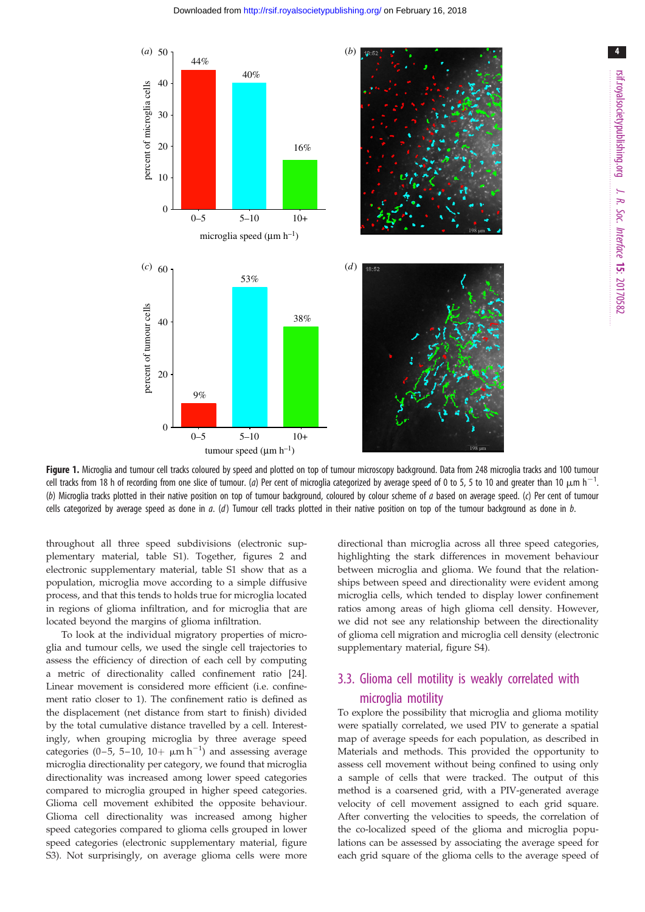<span id="page-3-0"></span>

Figure 1. Microglia and tumour cell tracks coloured by speed and plotted on top of tumour microscopy background. Data from 248 microglia tracks and 100 tumour cell tracks from 18 h of recording from one slice of tumour. (a) Per cent of microglia categorized by average speed of 0 to 5, 5 to 10 and greater than 10  $\mu$ m h<sup>-1</sup>. . (b) Microglia tracks plotted in their native position on top of tumour background, coloured by colour scheme of a based on average speed. (c) Per cent of tumour cells categorized by average speed as done in  $a. (d)$  Tumour cell tracks plotted in their native position on top of the tumour background as done in  $b.$ 

throughout all three speed subdivisions (electronic supplementary material, table S1). Together, [figures 2](#page-4-0) and electronic supplementary material, table S1 show that as a population, microglia move according to a simple diffusive process, and that this tends to holds true for microglia located in regions of glioma infiltration, and for microglia that are located beyond the margins of glioma infiltration.

To look at the individual migratory properties of microglia and tumour cells, we used the single cell trajectories to assess the efficiency of direction of each cell by computing a metric of directionality called confinement ratio [\[24](#page-7-0)]. Linear movement is considered more efficient (i.e. confinement ratio closer to 1). The confinement ratio is defined as the displacement (net distance from start to finish) divided by the total cumulative distance travelled by a cell. Interestingly, when grouping microglia by three average speed categories (0-5, 5-10, 10+  $\mu$ m h<sup>-1</sup>) and assessing average microglia directionality per category, we found that microglia directionality was increased among lower speed categories compared to microglia grouped in higher speed categories. Glioma cell movement exhibited the opposite behaviour. Glioma cell directionality was increased among higher speed categories compared to glioma cells grouped in lower speed categories (electronic supplementary material, figure S3). Not surprisingly, on average glioma cells were more

directional than microglia across all three speed categories, highlighting the stark differences in movement behaviour between microglia and glioma. We found that the relationships between speed and directionality were evident among microglia cells, which tended to display lower confinement ratios among areas of high glioma cell density. However, we did not see any relationship between the directionality of glioma cell migration and microglia cell density (electronic supplementary material, figure S4).

## 3.3. Glioma cell motility is weakly correlated with microglia motility

To explore the possibility that microglia and glioma motility were spatially correlated, we used PIV to generate a spatial map of average speeds for each population, as described in Materials and methods. This provided the opportunity to assess cell movement without being confined to using only a sample of cells that were tracked. The output of this method is a coarsened grid, with a PIV-generated average velocity of cell movement assigned to each grid square. After converting the velocities to speeds, the correlation of the co-localized speed of the glioma and microglia populations can be assessed by associating the average speed for each grid square of the glioma cells to the average speed of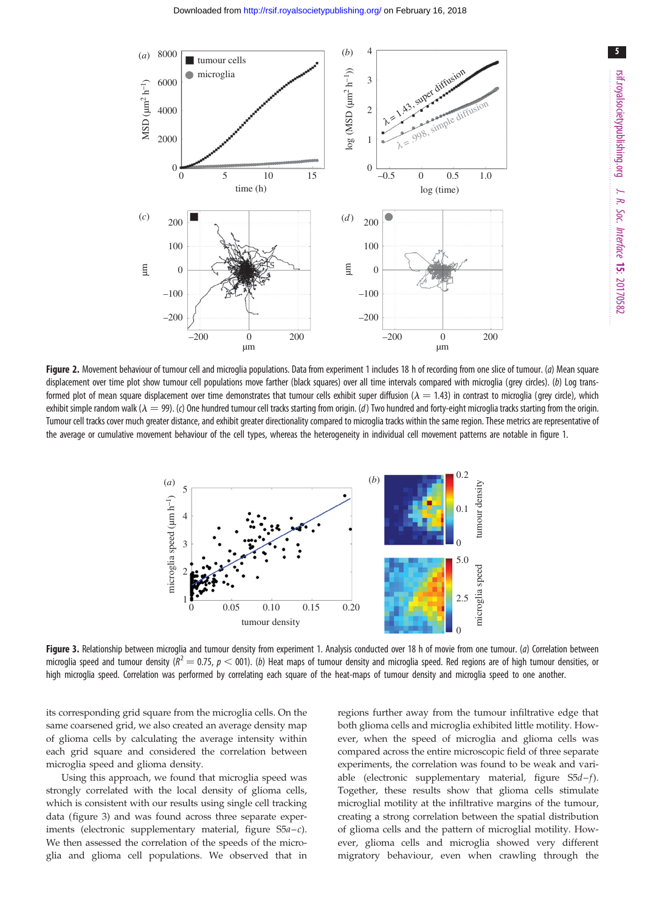<span id="page-4-0"></span>

Figure 2. Movement behaviour of tumour cell and microglia populations. Data from experiment 1 includes 18 h of recording from one slice of tumour. (a) Mean square displacement over time plot show tumour cell populations move farther (black squares) over all time intervals compared with microglia (grey circles). (b) Log transformed plot of mean square displacement over time demonstrates that tumour cells exhibit super diffusion ( $\lambda = 1.43$ ) in contrast to microglia (grey circle), which exhibit simple random walk ( $\lambda = 99$ ). (c) One hundred tumour cell tracks starting from origin. (d) Two hundred and forty-eight microglia tracks starting from the origin. Tumour cell tracks cover much greater distance, and exhibit greater directionality compared to microglia tracks within the same region. These metrics are representative of the average or cumulative movement behaviour of the cell types, whereas the heterogeneity in individual cell movement patterns are notable in [figure 1.](#page-3-0)



Figure 3. Relationship between microglia and tumour density from experiment 1. Analysis conducted over 18 h of movie from one tumour. (a) Correlation between microglia speed and tumour density ( $R^2 = 0.75$ ,  $p < 001$ ). (b) Heat maps of tumour density and microglia speed. Red regions are of high tumour densities, or high microglia speed. Correlation was performed by correlating each square of the heat-maps of tumour density and microglia speed to one another.

its corresponding grid square from the microglia cells. On the same coarsened grid, we also created an average density map of glioma cells by calculating the average intensity within each grid square and considered the correlation between microglia speed and glioma density.

Using this approach, we found that microglia speed was strongly correlated with the local density of glioma cells, which is consistent with our results using single cell tracking data (figure 3) and was found across three separate experiments (electronic supplementary material, figure S5a–c). We then assessed the correlation of the speeds of the microglia and glioma cell populations. We observed that in regions further away from the tumour infiltrative edge that both glioma cells and microglia exhibited little motility. However, when the speed of microglia and glioma cells was compared across the entire microscopic field of three separate experiments, the correlation was found to be weak and variable (electronic supplementary material, figure S5d–f). Together, these results show that glioma cells stimulate microglial motility at the infiltrative margins of the tumour, creating a strong correlation between the spatial distribution of glioma cells and the pattern of microglial motility. However, glioma cells and microglia showed very different migratory behaviour, even when crawling through the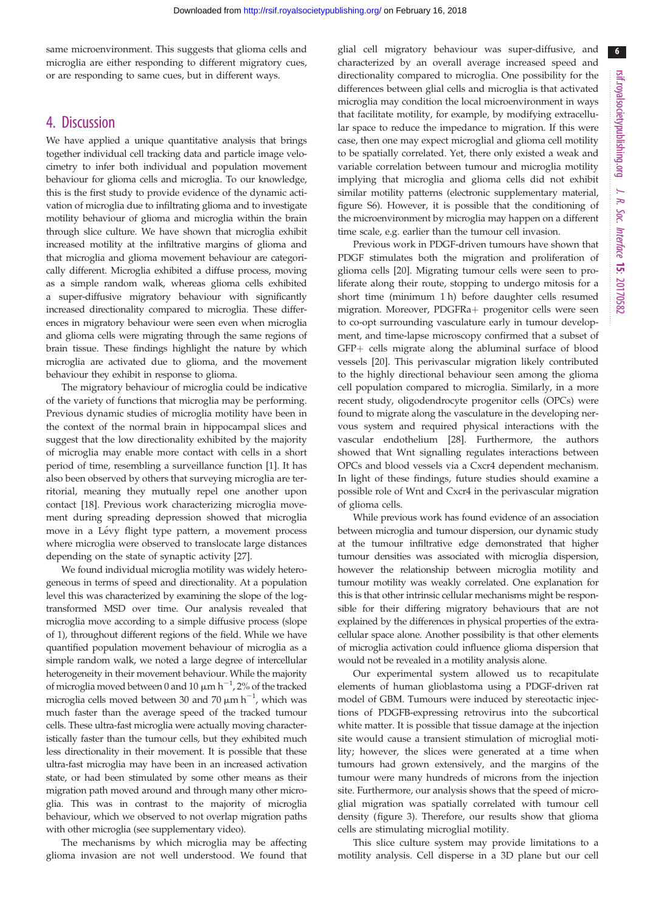6

same microenvironment. This suggests that glioma cells and microglia are either responding to different migratory cues, or are responding to same cues, but in different ways.

### 4. Discussion

We have applied a unique quantitative analysis that brings together individual cell tracking data and particle image velocimetry to infer both individual and population movement behaviour for glioma cells and microglia. To our knowledge, this is the first study to provide evidence of the dynamic activation of microglia due to infiltrating glioma and to investigate motility behaviour of glioma and microglia within the brain through slice culture. We have shown that microglia exhibit increased motility at the infiltrative margins of glioma and that microglia and glioma movement behaviour are categorically different. Microglia exhibited a diffuse process, moving as a simple random walk, whereas glioma cells exhibited a super-diffusive migratory behaviour with significantly increased directionality compared to microglia. These differences in migratory behaviour were seen even when microglia and glioma cells were migrating through the same regions of brain tissue. These findings highlight the nature by which microglia are activated due to glioma, and the movement behaviour they exhibit in response to glioma.

The migratory behaviour of microglia could be indicative of the variety of functions that microglia may be performing. Previous dynamic studies of microglia motility have been in the context of the normal brain in hippocampal slices and suggest that the low directionality exhibited by the majority of microglia may enable more contact with cells in a short period of time, resembling a surveillance function [\[1\]](#page-6-0). It has also been observed by others that surveying microglia are territorial, meaning they mutually repel one another upon contact [[18\]](#page-6-0). Previous work characterizing microglia movement during spreading depression showed that microglia move in a Lévy flight type pattern, a movement process where microglia were observed to translocate large distances depending on the state of synaptic activity [[27\]](#page-7-0).

We found individual microglia motility was widely heterogeneous in terms of speed and directionality. At a population level this was characterized by examining the slope of the logtransformed MSD over time. Our analysis revealed that microglia move according to a simple diffusive process (slope of 1), throughout different regions of the field. While we have quantified population movement behaviour of microglia as a simple random walk, we noted a large degree of intercellular heterogeneity in their movement behaviour. While the majority of microglia moved between 0 and 10  $\mu$ m h $^{-1}$ , 2% of the tracked microglia cells moved between 30 and 70  $\mu$ m h $^{-1}$ , which was much faster than the average speed of the tracked tumour cells. These ultra-fast microglia were actually moving characteristically faster than the tumour cells, but they exhibited much less directionality in their movement. It is possible that these ultra-fast microglia may have been in an increased activation state, or had been stimulated by some other means as their migration path moved around and through many other microglia. This was in contrast to the majority of microglia behaviour, which we observed to not overlap migration paths with other microglia (see supplementary video).

The mechanisms by which microglia may be affecting glioma invasion are not well understood. We found that glial cell migratory behaviour was super-diffusive, and characterized by an overall average increased speed and directionality compared to microglia. One possibility for the differences between glial cells and microglia is that activated microglia may condition the local microenvironment in ways that facilitate motility, for example, by modifying extracellular space to reduce the impedance to migration. If this were case, then one may expect microglial and glioma cell motility to be spatially correlated. Yet, there only existed a weak and variable correlation between tumour and microglia motility implying that microglia and glioma cells did not exhibit similar motility patterns (electronic supplementary material, figure S6). However, it is possible that the conditioning of the microenvironment by microglia may happen on a different time scale, e.g. earlier than the tumour cell invasion.

Previous work in PDGF-driven tumours have shown that PDGF stimulates both the migration and proliferation of glioma cells [\[20](#page-6-0)]. Migrating tumour cells were seen to proliferate along their route, stopping to undergo mitosis for a short time (minimum 1 h) before daughter cells resumed migration. Moreover, PDGFRa+ progenitor cells were seen to co-opt surrounding vasculature early in tumour development, and time-lapse microscopy confirmed that a subset of  $GFP+$  cells migrate along the abluminal surface of blood vessels [\[20](#page-6-0)]. This perivascular migration likely contributed to the highly directional behaviour seen among the glioma cell population compared to microglia. Similarly, in a more recent study, oligodendrocyte progenitor cells (OPCs) were found to migrate along the vasculature in the developing nervous system and required physical interactions with the vascular endothelium [[28](#page-7-0)]. Furthermore, the authors showed that Wnt signalling regulates interactions between OPCs and blood vessels via a Cxcr4 dependent mechanism. In light of these findings, future studies should examine a possible role of Wnt and Cxcr4 in the perivascular migration of glioma cells.

While previous work has found evidence of an association between microglia and tumour dispersion, our dynamic study at the tumour infiltrative edge demonstrated that higher tumour densities was associated with microglia dispersion, however the relationship between microglia motility and tumour motility was weakly correlated. One explanation for this is that other intrinsic cellular mechanisms might be responsible for their differing migratory behaviours that are not explained by the differences in physical properties of the extracellular space alone. Another possibility is that other elements of microglia activation could influence glioma dispersion that would not be revealed in a motility analysis alone.

Our experimental system allowed us to recapitulate elements of human glioblastoma using a PDGF-driven rat model of GBM. Tumours were induced by stereotactic injections of PDGFB-expressing retrovirus into the subcortical white matter. It is possible that tissue damage at the injection site would cause a transient stimulation of microglial motility; however, the slices were generated at a time when tumours had grown extensively, and the margins of the tumour were many hundreds of microns from the injection site. Furthermore, our analysis shows that the speed of microglial migration was spatially correlated with tumour cell density ([figure 3](#page-4-0)). Therefore, our results show that glioma cells are stimulating microglial motility.

This slice culture system may provide limitations to a motility analysis. Cell disperse in a 3D plane but our cell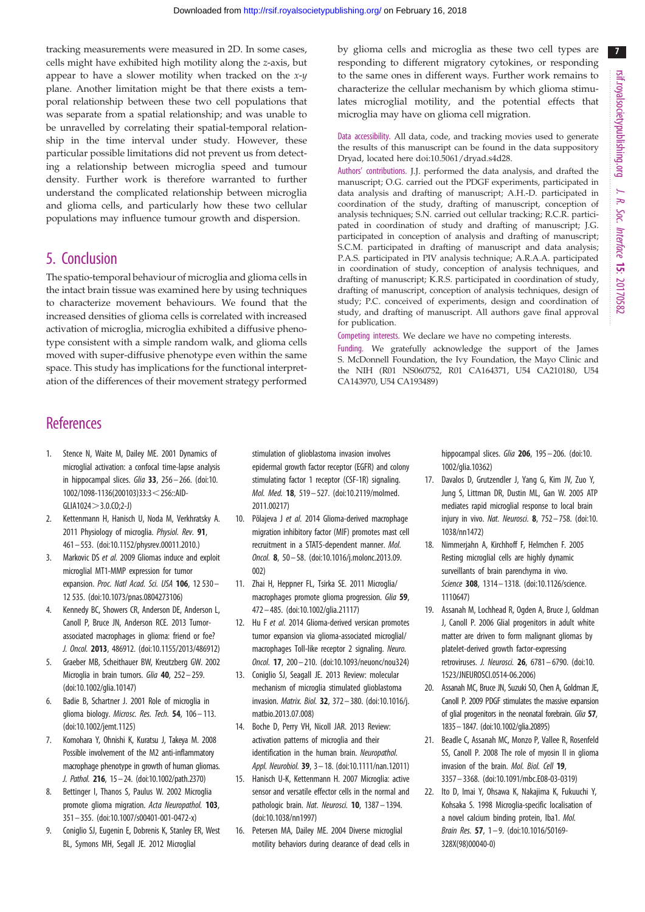7

<span id="page-6-0"></span>tracking measurements were measured in 2D. In some cases, cells might have exhibited high motility along the z-axis, but appear to have a slower motility when tracked on the  $x-y$ plane. Another limitation might be that there exists a temporal relationship between these two cell populations that was separate from a spatial relationship; and was unable to be unravelled by correlating their spatial-temporal relationship in the time interval under study. However, these particular possible limitations did not prevent us from detecting a relationship between microglia speed and tumour density. Further work is therefore warranted to further understand the complicated relationship between microglia and glioma cells, and particularly how these two cellular populations may influence tumour growth and dispersion.

## 5. Conclusion

The spatio-temporal behaviour of microglia and glioma cells in the intact brain tissue was examined here by using techniques to characterize movement behaviours. We found that the increased densities of glioma cells is correlated with increased activation of microglia, microglia exhibited a diffusive phenotype consistent with a simple random walk, and glioma cells moved with super-diffusive phenotype even within the same space. This study has implications for the functional interpretation of the differences of their movement strategy performed by glioma cells and microglia as these two cell types are responding to different migratory cytokines, or responding to the same ones in different ways. Further work remains to characterize the cellular mechanism by which glioma stimulates microglial motility, and the potential effects that microglia may have on glioma cell migration.

Data accessibility. All data, code, and tracking movies used to generate the results of this manuscript can be found in the data suppository Dryad, located here [doi:10.5061/dryad.s4d28](http://dx.doi.org/doi:10.5061/dryad.s4d28).

Authors' contributions. J.J. performed the data analysis, and drafted the manuscript; O.G. carried out the PDGF experiments, participated in data analysis and drafting of manuscript; A.H.-D. participated in coordination of the study, drafting of manuscript, conception of analysis techniques; S.N. carried out cellular tracking; R.C.R. participated in coordination of study and drafting of manuscript; J.G. participated in conception of analysis and drafting of manuscript; S.C.M. participated in drafting of manuscript and data analysis; P.A.S. participated in PIV analysis technique; A.R.A.A. participated in coordination of study, conception of analysis techniques, and drafting of manuscript; K.R.S. participated in coordination of study, drafting of manuscript, conception of analysis techniques, design of study; P.C. conceived of experiments, design and coordination of study, and drafting of manuscript. All authors gave final approval for publication.

Competing interests. We declare we have no competing interests.

Funding. We gratefully acknowledge the support of the James S. McDonnell Foundation, the Ivy Foundation, the Mayo Clinic and the NIH (R01 NS060752, R01 CA164371, U54 CA210180, U54 CA143970, U54 CA193489)

## **References**

- 1. Stence N, Waite M, Dailey ME. 2001 Dynamics of microglial activation: a confocal time-lapse analysis in hippocampal slices. Glia  $33$ ,  $256 - 266$ . ([doi:10.](http://dx.doi.org/10.1002/1098-1136(200103)33:3%3C256::AID-GLIA1024%3E3.0.CO;2-J) [1002/1098-1136\(200103\)33:3](http://dx.doi.org/10.1002/1098-1136(200103)33:3%3C256::AID-GLIA1024%3E3.0.CO;2-J)<256::AID- $GLIA1024 > 3.0.C0;2-J)$  $GLIA1024 > 3.0.C0;2-J)$
- 2. Kettenmann H, Hanisch U, Noda M, Verkhratsky A. 2011 Physiology of microglia. Physiol. Rev. 91, 461– 553. ([doi:10.1152/physrev.00011.2010.](http://dx.doi.org/10.1152/physrev.00011.2010.))
- 3. Markovic DS et al. 2009 Gliomas induce and exploit microglial MT1-MMP expression for tumor expansion. Proc. Natl Acad. Sci. USA 106, 12 530-12 535. ([doi:10.1073/pnas.0804273106\)](http://dx.doi.org/10.1073/pnas.0804273106)
- 4. Kennedy BC, Showers CR, Anderson DE, Anderson L, Canoll P, Bruce JN, Anderson RCE. 2013 Tumorassociated macrophages in glioma: friend or foe? J. Oncol. 2013, 486912. [\(doi:10.1155/2013/486912\)](http://dx.doi.org/10.1155/2013/486912)
- 5. Graeber MB, Scheithauer BW, Kreutzberg GW. 2002 Microglia in brain tumors. Glia 40, 252-259. [\(doi:10.1002/glia.10147](http://dx.doi.org/10.1002/glia.10147))
- 6. Badie B, Schartner J. 2001 Role of microglia in glioma biology. Microsc. Res. Tech. 54, 106-113. [\(doi:10.1002/jemt.1125\)](http://dx.doi.org/10.1002/jemt.1125)
- 7. Komohara Y, Ohnishi K, Kuratsu J, Takeya M. 2008 Possible involvement of the M2 anti-inflammatory macrophage phenotype in growth of human gliomas. J. Pathol. 216, 15–24. ([doi:10.1002/path.2370\)](http://dx.doi.org/10.1002/path.2370)
- 8. Bettinger I, Thanos S, Paulus W. 2002 Microglia promote glioma migration. Acta Neuropathol. 103, 351– 355. ([doi:10.1007/s00401-001-0472-x](http://dx.doi.org/10.1007/s00401-001-0472-x))
- 9. Coniglio SJ, Eugenin E, Dobrenis K, Stanley ER, West BL, Symons MH, Segall JE. 2012 Microglial

stimulation of glioblastoma invasion involves epidermal growth factor receptor (EGFR) and colony stimulating factor 1 receptor (CSF-1R) signaling. Mol. Med. 18, 519– 527. ([doi:10.2119/molmed.](http://dx.doi.org/10.2119/molmed.2011.00217) [2011.00217\)](http://dx.doi.org/10.2119/molmed.2011.00217)

- 10. Põlajeva J et al. 2014 Glioma-derived macrophage migration inhibitory factor (MIF) promotes mast cell recruitment in a STAT5-dependent manner. Mol. Oncol. 8, 50 – 58. ([doi:10.1016/j.molonc.2013.09.](http://dx.doi.org/10.1016/j.molonc.2013.09.002) [002](http://dx.doi.org/10.1016/j.molonc.2013.09.002))
- 11. Zhai H, Heppner FL, Tsirka SE. 2011 Microglia/ macrophages promote glioma progression. Glia 59, 472 – 485. [\(doi:10.1002/glia.21117](http://dx.doi.org/10.1002/glia.21117))
- 12. Hu F et al. 2014 Glioma-derived versican promotes tumor expansion via glioma-associated microglial/ macrophages Toll-like receptor 2 signaling. Neuro. Oncol. 17, 200– 210. [\(doi:10.1093/neuonc/nou324](http://dx.doi.org/10.1093/neuonc/nou324))
- 13. Coniglio SJ, Seagall JE. 2013 Review: molecular mechanism of microglia stimulated glioblastoma invasion. Matrix. Biol. 32, 372– 380. [\(doi:10.1016/j.](http://dx.doi.org/10.1016/j.matbio.2013.07.008) [matbio.2013.07.008\)](http://dx.doi.org/10.1016/j.matbio.2013.07.008)
- 14. Boche D, Perry VH, Nicoll JAR. 2013 Review: activation patterns of microglia and their identification in the human brain. Neuropathol. Appl. Neurobiol. 39, 3– 18. [\(doi:10.1111/nan.12011\)](http://dx.doi.org/10.1111/nan.12011)
- 15. Hanisch U-K, Kettenmann H. 2007 Microglia: active sensor and versatile effector cells in the normal and pathologic brain. Nat. Neurosci. 10, 1387-1394. [\(doi:10.1038/nn1997](http://dx.doi.org/10.1038/nn1997))
- 16. Petersen MA, Dailey ME. 2004 Diverse microglial motility behaviors during clearance of dead cells in

hippocampal slices. Glia  $206$ ,  $195 - 206$ . ([doi:10.](http://dx.doi.org/10.1002/glia.10362) [1002/glia.10362](http://dx.doi.org/10.1002/glia.10362))

- 17. Davalos D, Grutzendler J, Yang G, Kim JV, Zuo Y, Jung S, Littman DR, Dustin ML, Gan W. 2005 ATP mediates rapid microglial response to local brain injury in vivo. Nat. Neurosci.  $8, 752-758.$  [\(doi:10.](http://dx.doi.org/10.1038/nn1472) [1038/nn1472](http://dx.doi.org/10.1038/nn1472))
- 18. Nimmerjahn A, Kirchhoff F, Helmchen F. 2005 Resting microglial cells are highly dynamic surveillants of brain parenchyma in vivo. Science 308, 1314– 1318. ([doi:10.1126/science.](http://dx.doi.org/10.1126/science.1110647) [1110647](http://dx.doi.org/10.1126/science.1110647))
- 19. Assanah M, Lochhead R, Ogden A, Bruce J, Goldman J, Canoll P. 2006 Glial progenitors in adult white matter are driven to form malignant gliomas by platelet-derived growth factor-expressing retroviruses. J. Neurosci. 26, 6781– 6790. [\(doi:10.](http://dx.doi.org/10.1523/JNEUROSCI.0514-06.2006) [1523/JNEUROSCI.0514-06.2006](http://dx.doi.org/10.1523/JNEUROSCI.0514-06.2006))
- 20. Assanah MC, Bruce JN, Suzuki SO, Chen A, Goldman JE, Canoll P. 2009 PDGF stimulates the massive expansion of glial progenitors in the neonatal forebrain. Glia 57, 1835–1847. ([doi:10.1002/glia.20895](http://dx.doi.org/10.1002/glia.20895))
- 21. Beadle C, Assanah MC, Monzo P, Vallee R, Rosenfeld SS, Canoll P. 2008 The role of myosin II in glioma invasion of the brain. Mol. Biol. Cell 19, 3357– 3368. ([doi:10.1091/mbc.E08-03-0319\)](http://dx.doi.org/10.1091/mbc.E08-03-0319)
- 22. Ito D, Imai Y, Ohsawa K, Nakajima K, Fukuuchi Y, Kohsaka S. 1998 Microglia-specific localisation of a novel calcium binding protein, Iba1. Mol. Brain Res. 57, 1 – 9. ([doi:10.1016/S0169-](http://dx.doi.org/10.1016/S0169-328X(98)00040-0) [328X\(98\)00040-0](http://dx.doi.org/10.1016/S0169-328X(98)00040-0))